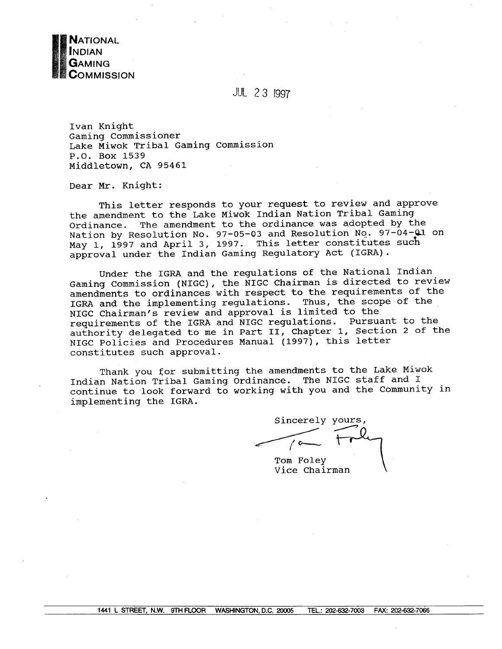

JUL 23 1997

Ivan Knight Gaming Commissioner Lake Miwok Tribal Gaming Commission P.O. Box 1539 Middletown, CA 95461

Dear Mr. Knight:

This letter responds to your request to review and approve the amendment to the Lake Miwok Indian Nation Tribal Gaming Ordinance. The amendment to the ordinance was adopted by the Nation by Resolution No. 97-05-03 and Resolution No. 97-04-01 on May 1, 1997 and April 3, 1997. This letter constitutes such approval under the Indian Gaming Regulatory Act (IGRA).

Under the IGRA and the regulations of the National Indian Gaming Commission (NIGC), the NIGC Chairman is directed to review amendments to ordinances with respect to the requirements of the IGRA and the implementing regulations. Thus, the scope of the NIGC Chairman's review and approval is limited to the requirements of the IGRA and NIGC regulations. Pursuant to the authority delegated to me in Part II, Chapter 1, Section 2 of the NIGC Policies and Procedures Manual (1997), this letter constitutes such approval.

Thank you for submitting the amendments to the Lake Miwok Indian Nation Tribal Gaming Ordinance. The NIGC staff and I continue to look forward to working with you and the Community in implementing the IGRA.

Sincerely yours,

Tom Foley Vice Chairman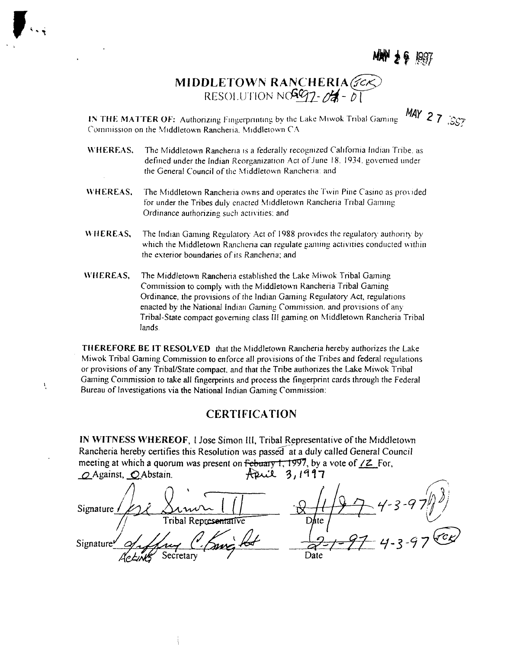**ANY 26** 1997

**AY** 27  $\mathcal{Z}$ 

# **MIDDLETOWN RANCHERIA RESOLUTION NC597-04 -** 0

**IN THE MATTER OF:** Authorizing Fingerprinting by the Lake Miwok Tribal Gaming **Commission on the Middlctowri Ranchena, Middlciown CA**

- **\~HEREAS, The Middletown Rancheria is <sup>a</sup> federally recognized California Indian Tribe, as defined under the Indian Reorganization Act of.Iune 18. 1934. governed tinder the General Council of the Middletown Rancheria: and**
- **W I-I ER EA S. The Middletown Ranchena owns and operates the Twin Pine Casino as provided for under the Tribes duly enacted Middletown Rancheria Tribal Gaming Ordinance authorizing such activities: and**
- **WlJ ER E.AS, The Indian** Gaming Regulatory Act of 1988 provides the regulatory authority by **which the Middletown Ranchcna can regulate gaining activities conducted within the exterior boundaries of its Ranchena; and**
- **~%I1EREAS, The Middletown Rancheria established the Lake Miwok Tnbal Gaining Commission to comply with the Middletown Rancheria Tribal Gaming Ordinance, the provisions of the Indian Gaining Regulator) Act, regulations enacted by the National Indian Gaining Commission. and provisions of any Tribal-State compact governing class Ill gaming on Middletown Rancheria Tribal lands.**

**THEREFORE BE IT RESOLVED that the Middletown Raiicheria hereby authorizes the Lake Miwok Tribal Gaining Commission to enforce all provisions of the Tribes and federal regulations or provisions of any Tribal/State compact. and that the Tribe authorizes the Lake Miwok Tribal Gaining Commission to take all fingerprints and process the fingerprint cards through the Federal Bureau of Investigations via the National Indian Gaining Commission:**

À,

#### **CERTIFICATION**

**IN WITNESS WHEREOF, <sup>I</sup> Jose Simon III, Tribal Representative of the Middletown Rancheria** hereby certifies this Resolution was passed at a duly called General Council **neeting** at which a quorum was present on Febuary 1, 1997, by a vote of  $/2$  For,<br>  $\bigcirc$  Against,  $\bigcirc$  Abstain.<br>  $\bigcirc$  Against,  $\bigcirc$  Abstain.

**QAgainst, \_QAbstain. ~4~\_c4,.Q. ~3, <sup>I</sup> t 1 7**  $S_{\text{ismature}}$   $\left( \frac{1}{2} \sum_{i=1}^{n} \frac{1}{2} \sum_{j=1}^{n} \frac{1}{2} \sum_{j=1}^{n} \frac{1}{2} \sum_{j=1}^{n} \frac{1}{2} \sum_{j=1}^{n} \frac{1}{2} \sum_{j=1}^{n} \frac{1}{2} \sum_{j=1}^{n} \frac{1}{2} \sum_{j=1}^{n} \frac{1}{2} \sum_{j=1}^{n} \frac{1}{2} \sum_{j=1}^{n} \frac{1}{2} \sum_{j=1}^{n} \frac{1}{2} \sum_{j=1}^{n} \$ **(1 Tribal** Representative  $\mathbf{D}_{\mathbf{a}}^{\mathbf{f}}$ te Signature of June C. Knight Date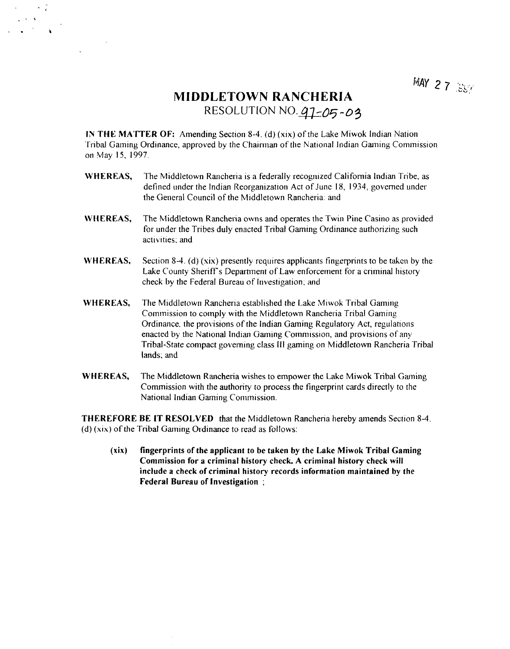## **MIDDLETOWN RANCHERIA RESOLUTION NO. 91-05-03**

**in THE MATTER OF:** Amending Section 8-4. (d) (xix) of the Lake Miwok Indian Nation **Tribal Gaming Ordinance, approved by the Chairman of the National Indian Gaming Commission oii May 15, 1997.**

- **WHEREAS, The Middletown Rancheria is <sup>a</sup> federally recognized California Indian Tribe, as defined tinder the Indian Reorganization Act of June 18, 1934, governed under the General Council of the Middletown Rancheria: and**
- **WHEREAS, The Middletown Rancheria owns and operates the Twin Pine Casino as provided for under the Tribes duly enacted Tribal Gaming Ordinance authorizing such activities: and**
- **WHEREAS, Section 8-4. (d) (xix) presently requires applicants fingerprints to be taken by the Lake County Sherifrs Department of Law enforcement for <sup>a</sup> criminal history check by the Federal Bureau of Investigation; and**
- **WHEREAS, The Middletown Rancheria established the Lake .Miwok Tribal Gaming Commission to comply with the Middletown Rancheiia Tribal Gaming Ordinance, the provisions of the Indian Gaming Regulatory Act, regulations enacted by the National Indian Gaming Commission, and provisions of any Tribal-State compact governing class Ill gaming on Middletown Rancheria Tribal (ands: and**
- **WHEREAS, The Middletown Rancheria wishes to empower the Lake Miwok Tribal Gaming Commission with the authority to process the fingerprint cards directly to the National Indian Gaming Commission.**

**THEREFORE BE IT RESOLVED that the Middletown Rancheria hereby amends Section 8-4. (d) (xix) of the Tribal Gaming Ordinance to read as follows:**

**(xix) fingerprints of the applicant to be taken by the Lake Miwok Tribal Gaming Commission for <sup>a</sup> criminal history check. A criminal history check will include <sup>a</sup> check of criminal history records information maintained by the Federal Bureau of Investigation**